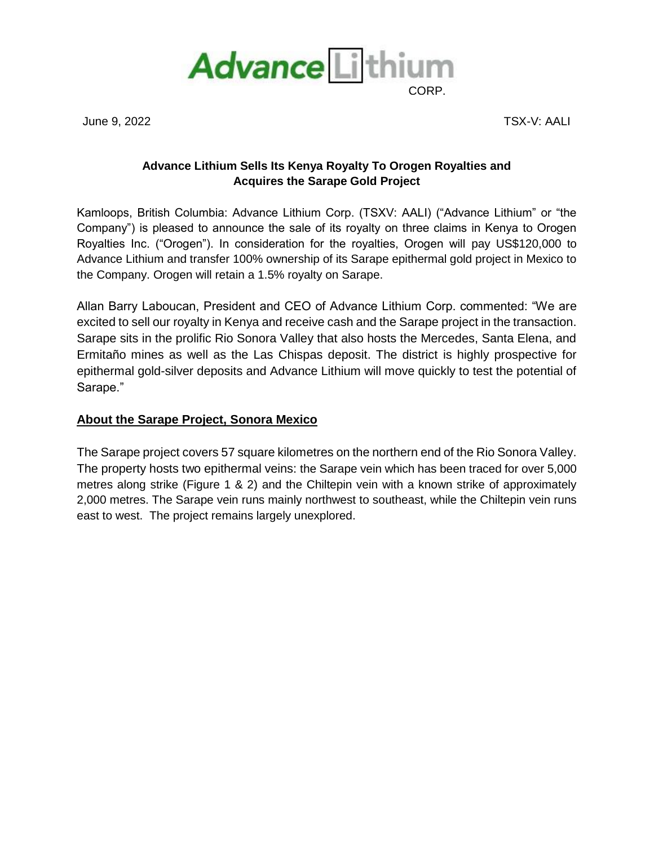

June 9, 2022 TSX-V: AALI

## **Advance Lithium Sells Its Kenya Royalty To Orogen Royalties and Acquires the Sarape Gold Project**

Kamloops, British Columbia: Advance Lithium Corp. (TSXV: AALI) ("Advance Lithium" or "the Company") is pleased to announce the sale of its royalty on three claims in Kenya to Orogen Royalties Inc. ("Orogen"). In consideration for the royalties, Orogen will pay US\$120,000 to Advance Lithium and transfer 100% ownership of its Sarape epithermal gold project in Mexico to the Company. Orogen will retain a 1.5% royalty on Sarape.

Allan Barry Laboucan, President and CEO of Advance Lithium Corp. commented: "We are excited to sell our royalty in Kenya and receive cash and the Sarape project in the transaction. Sarape sits in the prolific Rio Sonora Valley that also hosts the Mercedes, Santa Elena, and Ermitaño mines as well as the Las Chispas deposit. The district is highly prospective for epithermal gold-silver deposits and Advance Lithium will move quickly to test the potential of Sarape."

## **About the Sarape Project, Sonora Mexico**

The Sarape project covers 57 square kilometres on the northern end of the Rio Sonora Valley. The property hosts two epithermal veins: the Sarape vein which has been traced for over 5,000 metres along strike (Figure 1 & 2) and the Chiltepin vein with a known strike of approximately 2,000 metres. The Sarape vein runs mainly northwest to southeast, while the Chiltepin vein runs east to west. The project remains largely unexplored.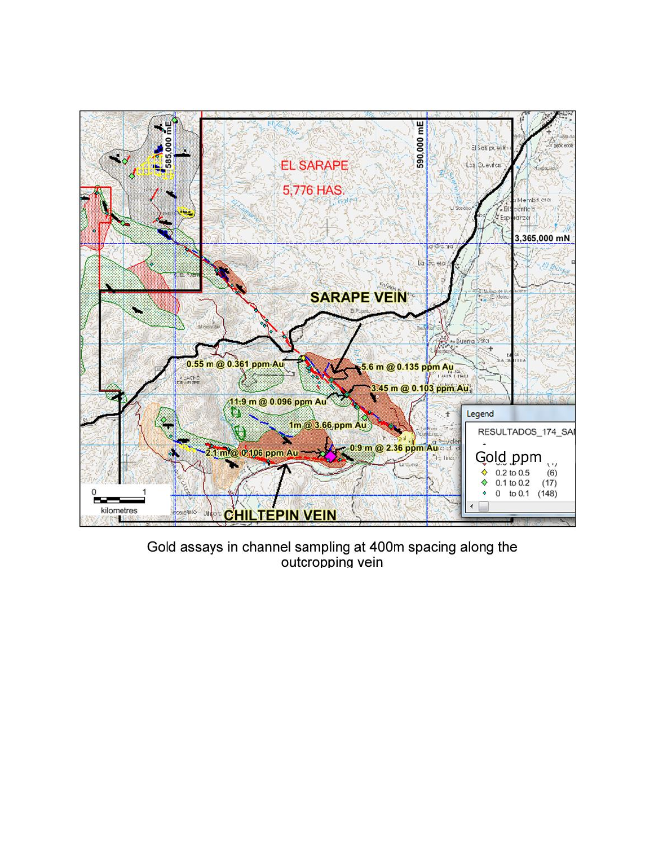

Gold assays in channel sampling at 400m spacing along the outcropping vein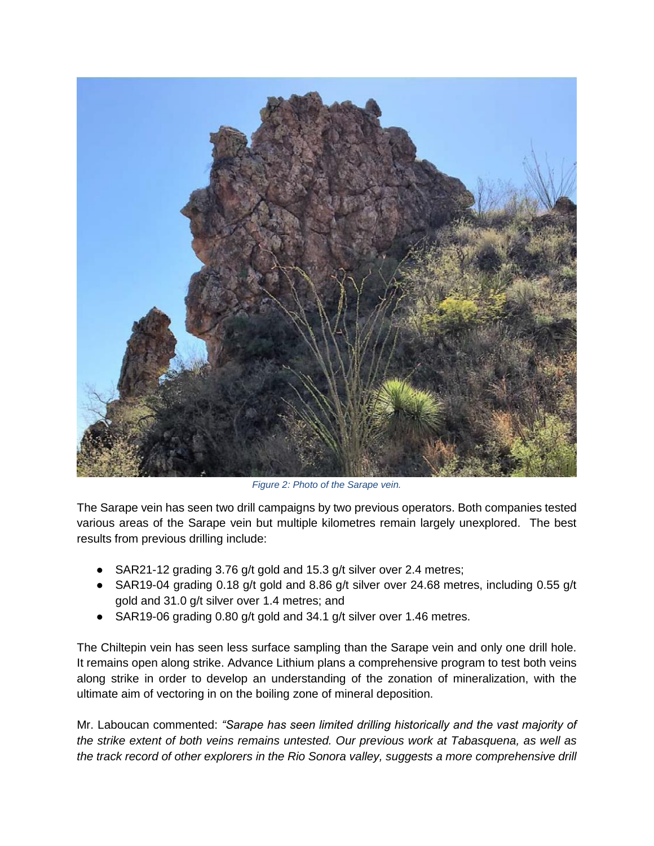

*Figure 2: Photo of the Sarape vein.*

The Sarape vein has seen two drill campaigns by two previous operators. Both companies tested various areas of the Sarape vein but multiple kilometres remain largely unexplored. The best results from previous drilling include:

- SAR21-12 grading 3.76 g/t gold and 15.3 g/t silver over 2.4 metres;
- SAR19-04 grading 0.18 g/t gold and 8.86 g/t silver over 24.68 metres, including 0.55 g/t gold and 31.0 g/t silver over 1.4 metres; and
- SAR19-06 grading 0.80 g/t gold and 34.1 g/t silver over 1.46 metres.

The Chiltepin vein has seen less surface sampling than the Sarape vein and only one drill hole. It remains open along strike. Advance Lithium plans a comprehensive program to test both veins along strike in order to develop an understanding of the zonation of mineralization, with the ultimate aim of vectoring in on the boiling zone of mineral deposition.

Mr. Laboucan commented: *"Sarape has seen limited drilling historically and the vast majority of the strike extent of both veins remains untested. Our previous work at Tabasquena, as well as the track record of other explorers in the Rio Sonora valley, suggests a more comprehensive drill*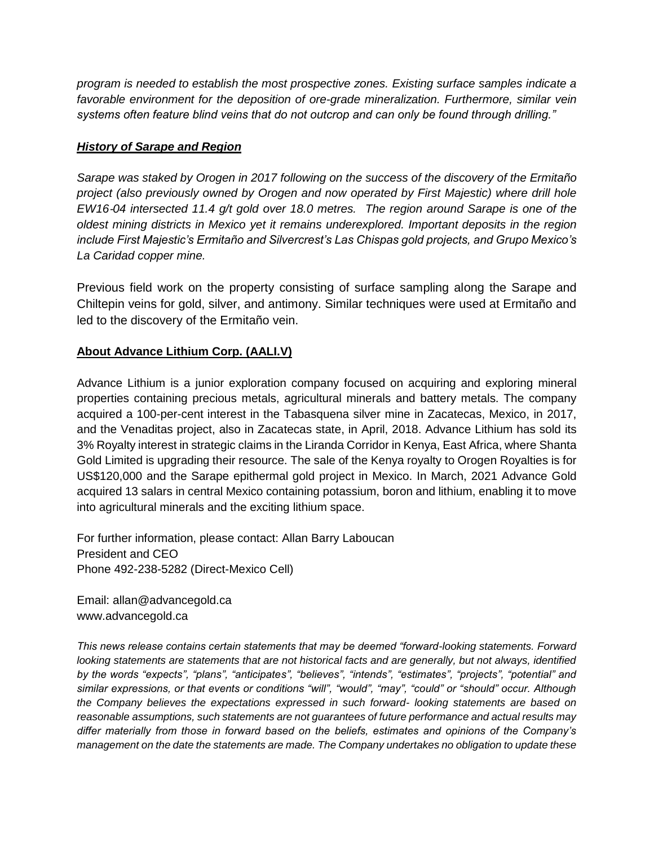*program is needed to establish the most prospective zones. Existing surface samples indicate a favorable environment for the deposition of ore-grade mineralization. Furthermore, similar vein systems often feature blind veins that do not outcrop and can only be found through drilling."* 

## *History of Sarape and Region*

*Sarape was staked by Orogen in 2017 following on the success of the discovery of the Ermitaño project (also previously owned by Orogen and now operated by First Majestic) where drill hole EW16*‐*04 intersected 11.4 g/t gold over 18.0 metres. The region around Sarape is one of the oldest mining districts in Mexico yet it remains underexplored. Important deposits in the region include First Majestic's Ermitaño and Silvercrest's Las Chispas gold projects, and Grupo Mexico's La Caridad copper mine.*

Previous field work on the property consisting of surface sampling along the Sarape and Chiltepin veins for gold, silver, and antimony. Similar techniques were used at Ermitaño and led to the discovery of the Ermitaño vein.

## **About Advance Lithium Corp. (AALI.V)**

Advance Lithium is a junior exploration company focused on acquiring and exploring mineral properties containing precious metals, agricultural minerals and battery metals. The company acquired a 100-per-cent interest in the Tabasquena silver mine in Zacatecas, Mexico, in 2017, and the Venaditas project, also in Zacatecas state, in April, 2018. Advance Lithium has sold its 3% Royalty interest in strategic claims in the Liranda Corridor in Kenya, East Africa, where Shanta Gold Limited is upgrading their resource. The sale of the Kenya royalty to Orogen Royalties is for US\$120,000 and the Sarape epithermal gold project in Mexico. In March, 2021 Advance Gold acquired 13 salars in central Mexico containing potassium, boron and lithium, enabling it to move into agricultural minerals and the exciting lithium space.

For further information, please contact: Allan Barry Laboucan President and CEO Phone 492-238-5282 (Direct-Mexico Cell)

Email: allan@advancegold.ca www.advancegold.ca

*This news release contains certain statements that may be deemed "forward-looking statements. Forward looking statements are statements that are not historical facts and are generally, but not always, identified by the words "expects", "plans", "anticipates", "believes", "intends", "estimates", "projects", "potential" and similar expressions, or that events or conditions "will", "would", "may", "could" or "should" occur. Although the Company believes the expectations expressed in such forward- looking statements are based on reasonable assumptions, such statements are not guarantees of future performance and actual results may differ materially from those in forward based on the beliefs, estimates and opinions of the Company's management on the date the statements are made. The Company undertakes no obligation to update these*